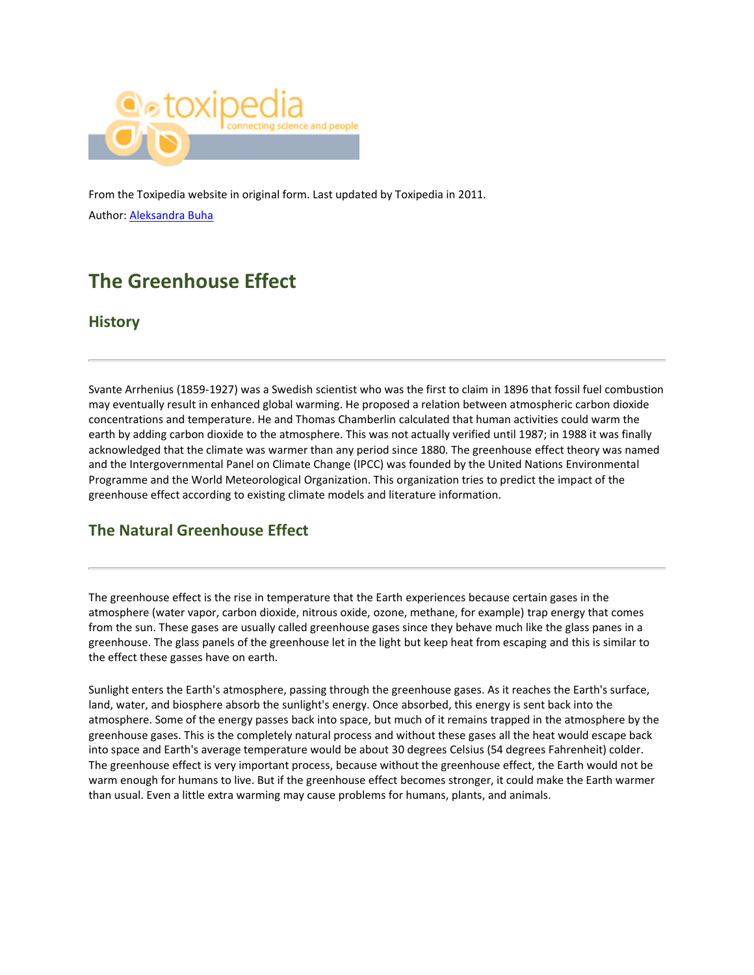

From the Toxipedia website in original form. Last updated by Toxipedia in 2011. Author: [Aleksandra Buha](https://www.researchgate.net/profile/Aleksandra_Buha)

# **The Greenhouse Effect**

### **History**

Svante Arrhenius (1859-1927) was a Swedish scientist who was the first to claim in 1896 that fossil fuel combustion may eventually result in enhanced global warming. He proposed a relation between atmospheric carbon dioxide concentrations and temperature. He and Thomas Chamberlin calculated that human activities could warm the earth by adding carbon dioxide to the atmosphere. This was not actually verified until 1987; in 1988 it was finally acknowledged that the climate was warmer than any period since 1880. The greenhouse effect theory was named and the Intergovernmental Panel on Climate Change (IPCC) was founded by the United Nations Environmental Programme and the World Meteorological Organization. This organization tries to predict the impact of the greenhouse effect according to existing climate models and literature information.

# **The Natural Greenhouse Effect**

The greenhouse effect is the rise in temperature that the Earth experiences because certain gases in the atmosphere (water vapor, carbon dioxide, nitrous oxide, ozone, methane, for example) trap energy that comes from the sun. These gases are usually called greenhouse gases since they behave much like the glass panes in a greenhouse. The glass panels of the greenhouse let in the light but keep heat from escaping and this is similar to the effect these gasses have on earth.

Sunlight enters the Earth's atmosphere, passing through the greenhouse gases. As it reaches the Earth's surface, land, water, and biosphere absorb the sunlight's energy. Once absorbed, this energy is sent back into the atmosphere. Some of the energy passes back into space, but much of it remains trapped in the atmosphere by the greenhouse gases. This is the completely natural process and without these gases all the heat would escape back into space and Earth's average temperature would be about 30 degrees Celsius (54 degrees Fahrenheit) colder. The greenhouse effect is very important process, because without the greenhouse effect, the Earth would not be warm enough for humans to live. But if the greenhouse effect becomes stronger, it could make the Earth warmer than usual. Even a little extra warming may cause problems for humans, plants, and animals.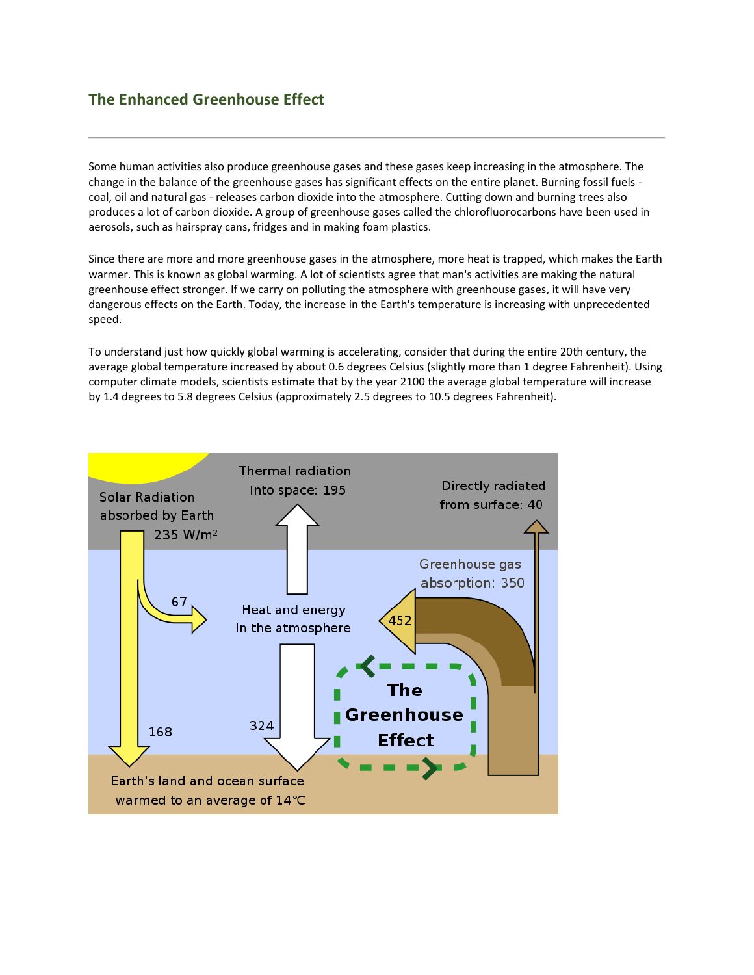## **The Enhanced Greenhouse Effect**

Some human activities also produce greenhouse gases and these gases keep increasing in the atmosphere. The change in the balance of the greenhouse gases has significant effects on the entire planet. Burning fossil fuels coal, oil and natural gas - releases carbon dioxide into the atmosphere. Cutting down and burning trees also produces a lot of carbon dioxide. A group of greenhouse gases called the chlorofluorocarbons have been used in aerosols, such as hairspray cans, fridges and in making foam plastics.

Since there are more and more greenhouse gases in the atmosphere, more heat is trapped, which makes the Earth warmer. This is known as global warming. A lot of scientists agree that man's activities are making the natural greenhouse effect stronger. If we carry on polluting the atmosphere with greenhouse gases, it will have very dangerous effects on the Earth. Today, the increase in the Earth's temperature is increasing with unprecedented speed.

To understand just how quickly global warming is accelerating, consider that during the entire 20th century, the average global temperature increased by about 0.6 degrees Celsius (slightly more than 1 degree Fahrenheit). Using computer climate models, scientists estimate that by the year 2100 the average global temperature will increase by 1.4 degrees to 5.8 degrees Celsius (approximately 2.5 degrees to 10.5 degrees Fahrenheit).

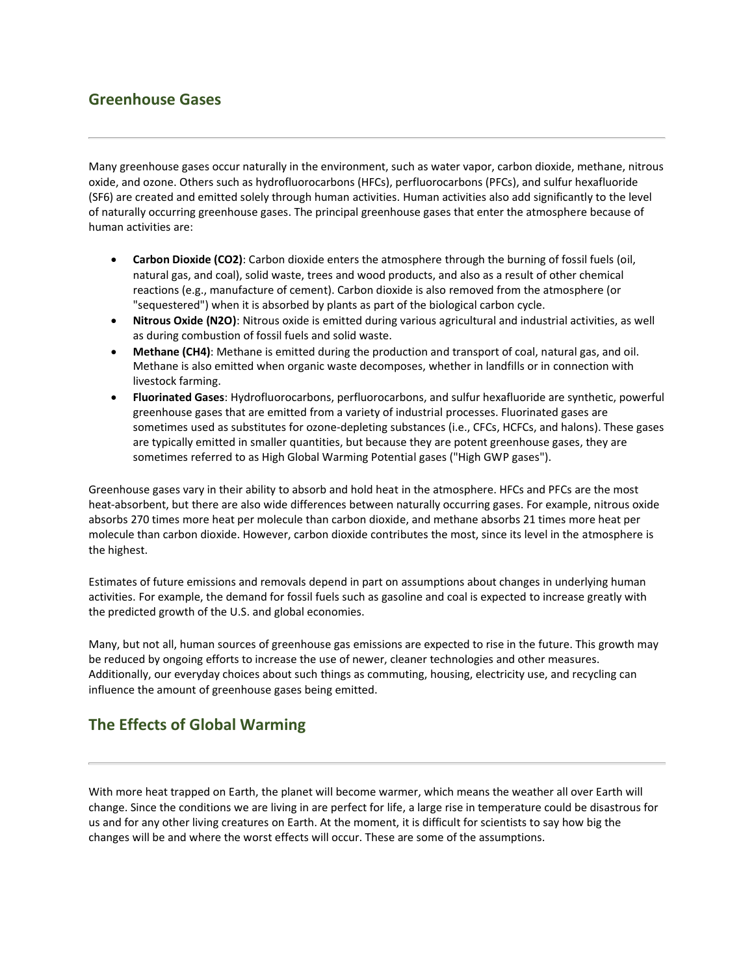## **Greenhouse Gases**

Many greenhouse gases occur naturally in the environment, such as water vapor, carbon dioxide, methane, nitrous oxide, and ozone. Others such as hydrofluorocarbons (HFCs), perfluorocarbons (PFCs), and sulfur hexafluoride (SF6) are created and emitted solely through human activities. Human activities also add significantly to the level of naturally occurring greenhouse gases. The principal greenhouse gases that enter the atmosphere because of human activities are:

- **Carbon Dioxide (CO2)**: Carbon dioxide enters the atmosphere through the burning of fossil fuels (oil, natural gas, and coal), solid waste, trees and wood products, and also as a result of other chemical reactions (e.g., manufacture of cement). Carbon dioxide is also removed from the atmosphere (or "sequestered") when it is absorbed by plants as part of the biological carbon cycle.
- **Nitrous Oxide (N2O)**: Nitrous oxide is emitted during various agricultural and industrial activities, as well as during combustion of fossil fuels and solid waste.
- **Methane (CH4)**: Methane is emitted during the production and transport of coal, natural gas, and oil. Methane is also emitted when organic waste decomposes, whether in landfills or in connection with livestock farming.
- **Fluorinated Gases**: Hydrofluorocarbons, perfluorocarbons, and sulfur hexafluoride are synthetic, powerful greenhouse gases that are emitted from a variety of industrial processes. Fluorinated gases are sometimes used as substitutes for ozone-depleting substances (i.e., CFCs, HCFCs, and halons). These gases are typically emitted in smaller quantities, but because they are potent greenhouse gases, they are sometimes referred to as High Global Warming Potential gases ("High GWP gases").

Greenhouse gases vary in their ability to absorb and hold heat in the atmosphere. HFCs and PFCs are the most heat-absorbent, but there are also wide differences between naturally occurring gases. For example, nitrous oxide absorbs 270 times more heat per molecule than carbon dioxide, and methane absorbs 21 times more heat per molecule than carbon dioxide. However, carbon dioxide contributes the most, since its level in the atmosphere is the highest.

Estimates of future emissions and removals depend in part on assumptions about changes in underlying human activities. For example, the demand for fossil fuels such as gasoline and coal is expected to increase greatly with the predicted growth of the U.S. and global economies.

Many, but not all, human sources of greenhouse gas emissions are expected to rise in the future. This growth may be reduced by ongoing efforts to increase the use of newer, cleaner technologies and other measures. Additionally, our everyday choices about such things as commuting, housing, electricity use, and recycling can influence the amount of greenhouse gases being emitted.

# **The Effects of Global Warming**

With more heat trapped on Earth, the planet will become warmer, which means the weather all over Earth will change. Since the conditions we are living in are perfect for life, a large rise in temperature could be disastrous for us and for any other living creatures on Earth. At the moment, it is difficult for scientists to say how big the changes will be and where the worst effects will occur. These are some of the assumptions.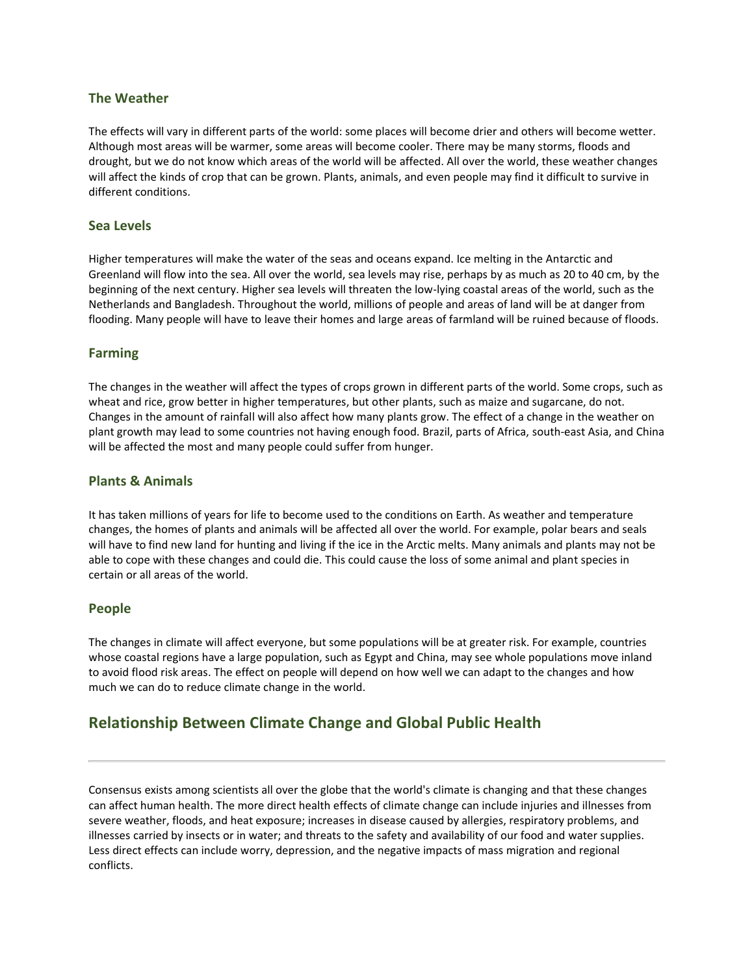#### **The Weather**

The effects will vary in different parts of the world: some places will become drier and others will become wetter. Although most areas will be warmer, some areas will become cooler. There may be many storms, floods and drought, but we do not know which areas of the world will be affected. All over the world, these weather changes will affect the kinds of crop that can be grown. Plants, animals, and even people may find it difficult to survive in different conditions.

#### **Sea Levels**

Higher temperatures will make the water of the seas and oceans expand. Ice melting in the Antarctic and Greenland will flow into the sea. All over the world, sea levels may rise, perhaps by as much as 20 to 40 cm, by the beginning of the next century. Higher sea levels will threaten the low-lying coastal areas of the world, such as the Netherlands and Bangladesh. Throughout the world, millions of people and areas of land will be at danger from flooding. Many people will have to leave their homes and large areas of farmland will be ruined because of floods.

#### **Farming**

The changes in the weather will affect the types of crops grown in different parts of the world. Some crops, such as wheat and rice, grow better in higher temperatures, but other plants, such as maize and sugarcane, do not. Changes in the amount of rainfall will also affect how many plants grow. The effect of a change in the weather on plant growth may lead to some countries not having enough food. Brazil, parts of Africa, south-east Asia, and China will be affected the most and many people could suffer from hunger.

#### **Plants & Animals**

It has taken millions of years for life to become used to the conditions on Earth. As weather and temperature changes, the homes of plants and animals will be affected all over the world. For example, polar bears and seals will have to find new land for hunting and living if the ice in the Arctic melts. Many animals and plants may not be able to cope with these changes and could die. This could cause the loss of some animal and plant species in certain or all areas of the world.

#### **People**

The changes in climate will affect everyone, but some populations will be at greater risk. For example, countries whose coastal regions have a large population, such as Egypt and China, may see whole populations move inland to avoid flood risk areas. The effect on people will depend on how well we can adapt to the changes and how much we can do to reduce climate change in the world.

### **Relationship Between Climate Change and Global Public Health**

Consensus exists among scientists all over the globe that the world's climate is changing and that these changes can affect human health. The more direct health effects of climate change can include injuries and illnesses from severe weather, floods, and heat exposure; increases in disease caused by allergies, respiratory problems, and illnesses carried by insects or in water; and threats to the safety and availability of our food and water supplies. Less direct effects can include worry, depression, and the negative impacts of mass migration and regional conflicts.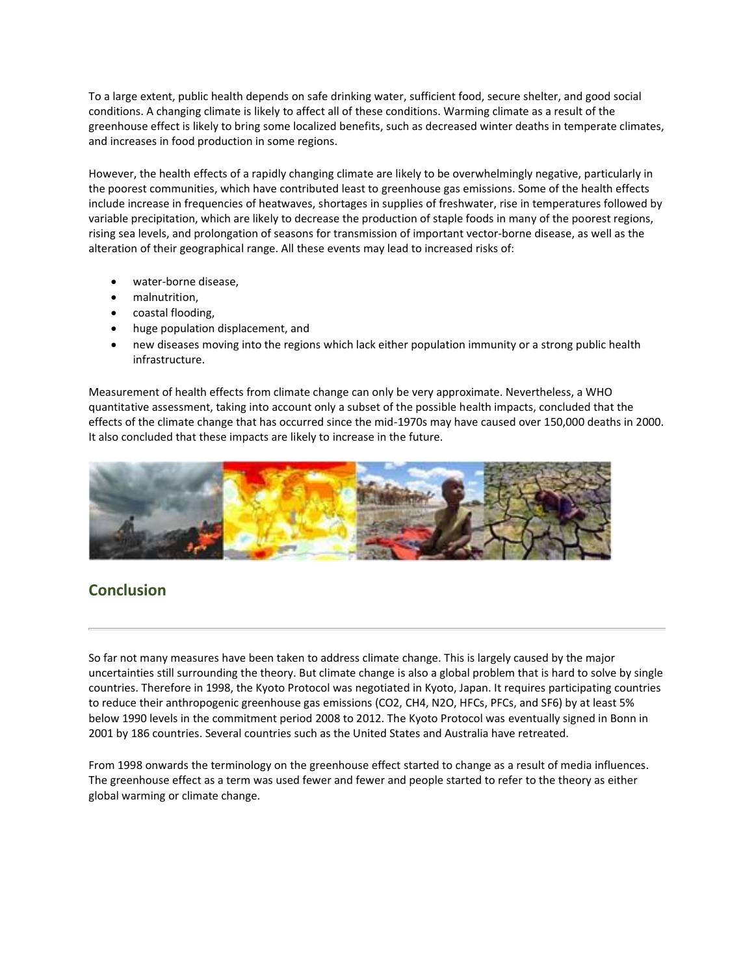To a large extent, public health depends on safe drinking water, sufficient food, secure shelter, and good social conditions. A changing climate is likely to affect all of these conditions. Warming climate as a result of the greenhouse effect is likely to bring some localized benefits, such as decreased winter deaths in temperate climates, and increases in food production in some regions.

However, the health effects of a rapidly changing climate are likely to be overwhelmingly negative, particularly in the poorest communities, which have contributed least to greenhouse gas emissions. Some of the health effects include increase in frequencies of heatwaves, shortages in supplies of freshwater, rise in temperatures followed by variable precipitation, which are likely to decrease the production of staple foods in many of the poorest regions, rising sea levels, and prolongation of seasons for transmission of important vector-borne disease, as well as the alteration of their geographical range. All these events may lead to increased risks of:

- water-borne disease,
- malnutrition,
- coastal flooding,
- huge population displacement, and
- new diseases moving into the regions which lack either population immunity or a strong public health infrastructure.

Measurement of health effects from climate change can only be very approximate. Nevertheless, a WHO quantitative assessment, taking into account only a subset of the possible health impacts, concluded that the effects of the climate change that has occurred since the mid-1970s may have caused over 150,000 deaths in 2000. It also concluded that these impacts are likely to increase in the future.



# **Conclusion**

So far not many measures have been taken to address climate change. This is largely caused by the major uncertainties still surrounding the theory. But climate change is also a global problem that is hard to solve by single countries. Therefore in 1998, the Kyoto Protocol was negotiated in Kyoto, Japan. It requires participating countries to reduce their anthropogenic greenhouse gas emissions (CO2, CH4, N2O, HFCs, PFCs, and SF6) by at least 5% below 1990 levels in the commitment period 2008 to 2012. The Kyoto Protocol was eventually signed in Bonn in 2001 by 186 countries. Several countries such as the United States and Australia have retreated.

From 1998 onwards the terminology on the greenhouse effect started to change as a result of media influences. The greenhouse effect as a term was used fewer and fewer and people started to refer to the theory as either global warming or climate change.